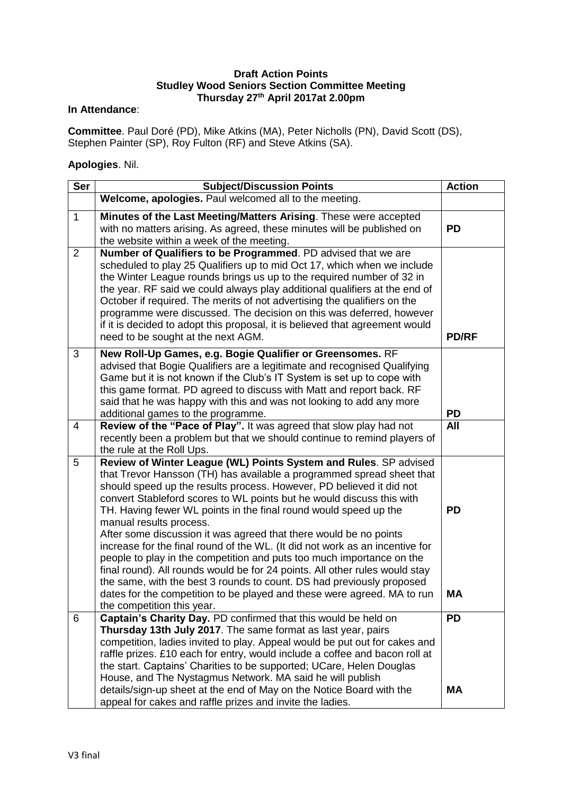## **Draft Action Points Studley Wood Seniors Section Committee Meeting Thursday 27 th April 2017at 2.00pm**

## **In Attendance**:

**Committee**. Paul Doré (PD), Mike Atkins (MA), Peter Nicholls (PN), David Scott (DS), Stephen Painter (SP), Roy Fulton (RF) and Steve Atkins (SA).

## **Apologies**. Nil.

| <b>Ser</b>     | <b>Subject/Discussion Points</b>                                                                                                                                                                                                                                                                                                                                                                                                                                                                                                                                                                                                                                                                                                                                                                                                                                                         | <b>Action</b>   |
|----------------|------------------------------------------------------------------------------------------------------------------------------------------------------------------------------------------------------------------------------------------------------------------------------------------------------------------------------------------------------------------------------------------------------------------------------------------------------------------------------------------------------------------------------------------------------------------------------------------------------------------------------------------------------------------------------------------------------------------------------------------------------------------------------------------------------------------------------------------------------------------------------------------|-----------------|
|                | Welcome, apologies. Paul welcomed all to the meeting.                                                                                                                                                                                                                                                                                                                                                                                                                                                                                                                                                                                                                                                                                                                                                                                                                                    |                 |
| $\mathbf{1}$   | Minutes of the Last Meeting/Matters Arising. These were accepted<br>with no matters arising. As agreed, these minutes will be published on<br>the website within a week of the meeting.                                                                                                                                                                                                                                                                                                                                                                                                                                                                                                                                                                                                                                                                                                  | <b>PD</b>       |
| $\overline{2}$ | Number of Qualifiers to be Programmed. PD advised that we are<br>scheduled to play 25 Qualifiers up to mid Oct 17, which when we include<br>the Winter League rounds brings us up to the required number of 32 in<br>the year. RF said we could always play additional qualifiers at the end of<br>October if required. The merits of not advertising the qualifiers on the<br>programme were discussed. The decision on this was deferred, however<br>if it is decided to adopt this proposal, it is believed that agreement would<br>need to be sought at the next AGM.                                                                                                                                                                                                                                                                                                                | <b>PD/RF</b>    |
| 3              | New Roll-Up Games, e.g. Bogie Qualifier or Greensomes. RF<br>advised that Bogie Qualifiers are a legitimate and recognised Qualifying<br>Game but it is not known if the Club's IT System is set up to cope with<br>this game format. PD agreed to discuss with Matt and report back. RF<br>said that he was happy with this and was not looking to add any more<br>additional games to the programme.                                                                                                                                                                                                                                                                                                                                                                                                                                                                                   | <b>PD</b>       |
| 4              | Review of the "Pace of Play". It was agreed that slow play had not<br>recently been a problem but that we should continue to remind players of<br>the rule at the Roll Ups.                                                                                                                                                                                                                                                                                                                                                                                                                                                                                                                                                                                                                                                                                                              | All             |
| 5              | Review of Winter League (WL) Points System and Rules. SP advised<br>that Trevor Hansson (TH) has available a programmed spread sheet that<br>should speed up the results process. However, PD believed it did not<br>convert Stableford scores to WL points but he would discuss this with<br>TH. Having fewer WL points in the final round would speed up the<br>manual results process.<br>After some discussion it was agreed that there would be no points<br>increase for the final round of the WL. (It did not work as an incentive for<br>people to play in the competition and puts too much importance on the<br>final round). All rounds would be for 24 points. All other rules would stay<br>the same, with the best 3 rounds to count. DS had previously proposed<br>dates for the competition to be played and these were agreed. MA to run<br>the competition this year. | <b>PD</b><br>MА |
| 6              | Captain's Charity Day. PD confirmed that this would be held on<br>Thursday 13th July 2017. The same format as last year, pairs<br>competition, ladies invited to play. Appeal would be put out for cakes and<br>raffle prizes. £10 each for entry, would include a coffee and bacon roll at<br>the start. Captains' Charities to be supported; UCare, Helen Douglas<br>House, and The Nystagmus Network. MA said he will publish<br>details/sign-up sheet at the end of May on the Notice Board with the<br>appeal for cakes and raffle prizes and invite the ladies.                                                                                                                                                                                                                                                                                                                    | <b>PD</b><br>MA |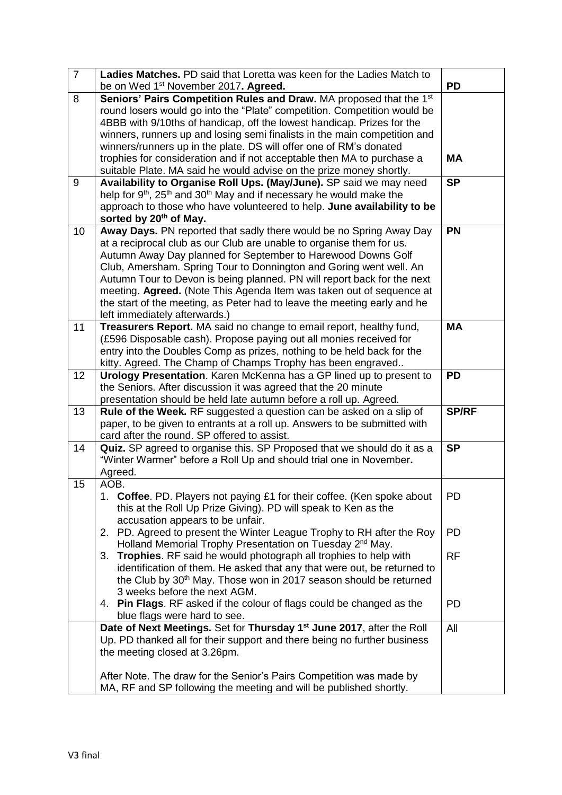| $\overline{7}$ | Ladies Matches. PD said that Loretta was keen for the Ladies Match to                                                                                                                                                                                                                                                                                                                                                                                                                                                                                                                                           |                 |
|----------------|-----------------------------------------------------------------------------------------------------------------------------------------------------------------------------------------------------------------------------------------------------------------------------------------------------------------------------------------------------------------------------------------------------------------------------------------------------------------------------------------------------------------------------------------------------------------------------------------------------------------|-----------------|
|                | be on Wed 1 <sup>st</sup> November 2017. Agreed.                                                                                                                                                                                                                                                                                                                                                                                                                                                                                                                                                                | <b>PD</b>       |
| 8<br>9         | Seniors' Pairs Competition Rules and Draw. MA proposed that the 1 <sup>st</sup><br>round losers would go into the "Plate" competition. Competition would be<br>4BBB with 9/10ths of handicap, off the lowest handicap. Prizes for the<br>winners, runners up and losing semi finalists in the main competition and<br>winners/runners up in the plate. DS will offer one of RM's donated<br>trophies for consideration and if not acceptable then MA to purchase a<br>suitable Plate. MA said he would advise on the prize money shortly.<br>Availability to Organise Roll Ups. (May/June). SP said we may need | MA<br><b>SP</b> |
|                | help for 9 <sup>th</sup> , 25 <sup>th</sup> and 30 <sup>th</sup> May and if necessary he would make the<br>approach to those who have volunteered to help. June availability to be<br>sorted by 20 <sup>th</sup> of May.                                                                                                                                                                                                                                                                                                                                                                                        |                 |
| 10             | Away Days. PN reported that sadly there would be no Spring Away Day<br>at a reciprocal club as our Club are unable to organise them for us.<br>Autumn Away Day planned for September to Harewood Downs Golf<br>Club, Amersham. Spring Tour to Donnington and Goring went well. An<br>Autumn Tour to Devon is being planned. PN will report back for the next<br>meeting. Agreed. (Note This Agenda Item was taken out of sequence at<br>the start of the meeting, as Peter had to leave the meeting early and he<br>left immediately afterwards.)                                                               | <b>PN</b>       |
| 11             | Treasurers Report. MA said no change to email report, healthy fund,<br>(£596 Disposable cash). Propose paying out all monies received for<br>entry into the Doubles Comp as prizes, nothing to be held back for the<br>kitty. Agreed. The Champ of Champs Trophy has been engraved                                                                                                                                                                                                                                                                                                                              | <b>MA</b>       |
| 12             | Urology Presentation. Karen McKenna has a GP lined up to present to<br>the Seniors. After discussion it was agreed that the 20 minute<br>presentation should be held late autumn before a roll up. Agreed.                                                                                                                                                                                                                                                                                                                                                                                                      | <b>PD</b>       |
| 13             | Rule of the Week. RF suggested a question can be asked on a slip of<br>paper, to be given to entrants at a roll up. Answers to be submitted with<br>card after the round. SP offered to assist.                                                                                                                                                                                                                                                                                                                                                                                                                 | <b>SP/RF</b>    |
| 14             | Quiz. SP agreed to organise this. SP Proposed that we should do it as a<br>"Winter Warmer" before a Roll Up and should trial one in November.<br>Agreed.                                                                                                                                                                                                                                                                                                                                                                                                                                                        | <b>SP</b>       |
| 15             | AOB.                                                                                                                                                                                                                                                                                                                                                                                                                                                                                                                                                                                                            |                 |
|                | 1. Coffee. PD. Players not paying £1 for their coffee. (Ken spoke about<br>this at the Roll Up Prize Giving). PD will speak to Ken as the<br>accusation appears to be unfair.                                                                                                                                                                                                                                                                                                                                                                                                                                   | <b>PD</b>       |
|                | PD. Agreed to present the Winter League Trophy to RH after the Roy<br>2.<br>Holland Memorial Trophy Presentation on Tuesday 2 <sup>nd</sup> May.                                                                                                                                                                                                                                                                                                                                                                                                                                                                | <b>PD</b>       |
|                | Trophies. RF said he would photograph all trophies to help with<br>3.<br>identification of them. He asked that any that were out, be returned to<br>the Club by 30 <sup>th</sup> May. Those won in 2017 season should be returned<br>3 weeks before the next AGM.                                                                                                                                                                                                                                                                                                                                               | <b>RF</b>       |
|                | 4. Pin Flags. RF asked if the colour of flags could be changed as the<br>blue flags were hard to see.                                                                                                                                                                                                                                                                                                                                                                                                                                                                                                           | <b>PD</b>       |
|                | Date of Next Meetings. Set for Thursday 1 <sup>st</sup> June 2017, after the Roll<br>Up. PD thanked all for their support and there being no further business<br>the meeting closed at 3.26pm.<br>After Note. The draw for the Senior's Pairs Competition was made by<br>MA, RF and SP following the meeting and will be published shortly.                                                                                                                                                                                                                                                                     | All             |